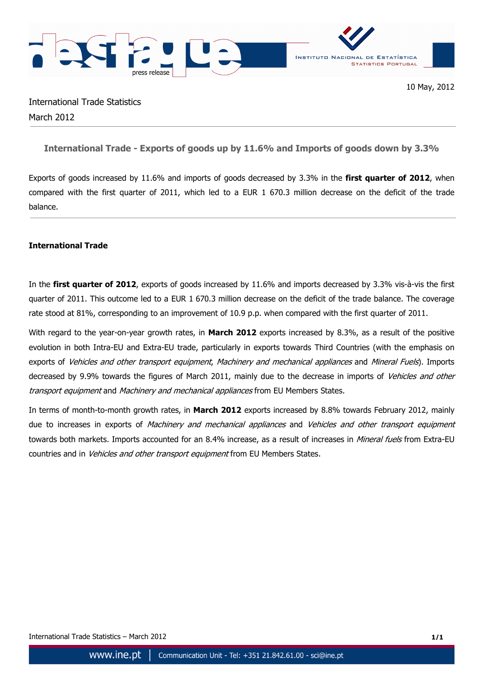

# International Trade Statistics March 2012

## **International Trade - Exports of goods up by 11.6% and Imports of goods down by 3.3%**

Exports of goods increased by 11.6% and imports of goods decreased by 3.3% in the **first quarter of 2012**, when compared with the first quarter of 2011, which led to a EUR 1 670.3 million decrease on the deficit of the trade balance.

### **International Trade**

In the **first quarter of 2012**, exports of goods increased by 11.6% and imports decreased by 3.3% vis-à-vis the first quarter of 2011. This outcome led to a EUR 1 670.3 million decrease on the deficit of the trade balance. The coverage rate stood at 81%, corresponding to an improvement of 10.9 p.p. when compared with the first quarter of 2011.

With regard to the year-on-year growth rates, in **March 2012** exports increased by 8.3%, as a result of the positive evolution in both Intra-EU and Extra-EU trade, particularly in exports towards Third Countries (with the emphasis on exports of Vehicles and other transport equipment, Machinery and mechanical appliances and Mineral Fuels). Imports decreased by 9.9% towards the figures of March 2011, mainly due to the decrease in imports of Vehicles and other transport equipment and Machinery and mechanical appliances from EU Members States.

In terms of month-to-month growth rates, in **March 2012** exports increased by 8.8% towards February 2012, mainly due to increases in exports of Machinery and mechanical appliances and Vehicles and other transport equipment towards both markets. Imports accounted for an 8.4% increase, as a result of increases in *Mineral fuels* from Extra-EU countries and in Vehicles and other transport equipment from EU Members States.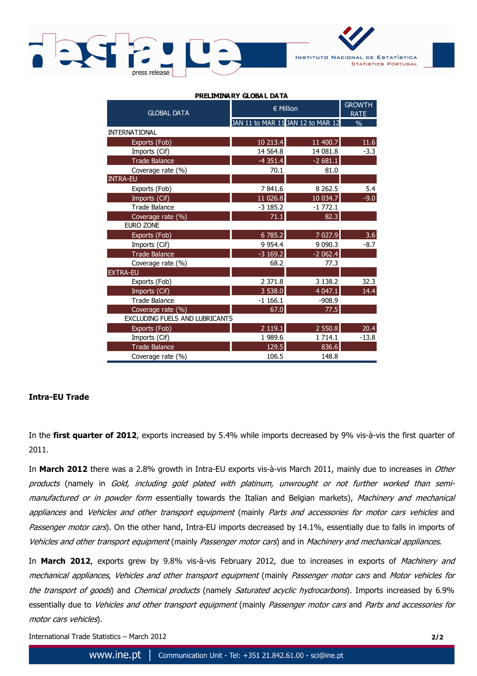



| <b>GLOBAL DATA</b>             | € Million   | <b>GROWTH</b><br><b>RATE</b>      |               |
|--------------------------------|-------------|-----------------------------------|---------------|
|                                |             | JAN 11 to MAR 11 JAN 12 to MAR 12 | $\frac{0}{0}$ |
| <b>INTERNATIONAL</b>           |             |                                   |               |
| Exports (Fob)                  | 10 213.4    | 11 400.7                          | 11.6          |
| Imports (Cif)                  | 14 5 64.8   | 14 081.8                          | $-3.3$        |
| <b>Trade Balance</b>           | $-4351.4$   | $-2681.1$                         |               |
| Coverage rate (%)              | 70.1        | 81.0                              |               |
| <b>INTRA-EU</b>                |             |                                   |               |
| Exports (Fob)                  | 7841.6      | 8 2 6 2.5                         | 5.4           |
| Imports (Cif)                  | 11 026.8    | 10 034.7                          | $-9.0$        |
| <b>Trade Balance</b>           | $-3185.2$   | $-1772.1$                         |               |
| Coverage rate (%)              | 71.1        | 82.3                              |               |
| EURO ZONE                      |             |                                   |               |
| Exports (Fob)                  | 6 785.2     | 7 0 27.9                          | 3.6           |
| Imports (Cif)                  | 9 9 5 4.4   | 9 0 9 0.3                         | $-8.7$        |
| Trade Balance                  | $-3169.2$   | $-2062.4$                         |               |
| Coverage rate (%)              | 68.2        | 77.3                              |               |
| <b>EXTRA-EU</b>                |             |                                   |               |
| Exports (Fob)                  | 2 371.8     | 3 1 3 8.2                         | 32.3          |
| Imports (Cif)                  | 3 538.0     | 4 0 4 7 . 1                       | 14.4          |
| <b>Trade Balance</b>           | $-1166.1$   | $-908.9$                          |               |
| Coverage rate (%)              | 67.0        | 77.5                              |               |
| EXCLUDING FUELS AND LUBRICANTS |             |                                   |               |
| Exports (Fob)                  | 2 1 1 9 . 1 | 2 550.8                           | 20.4          |
| Imports (Cif)                  | 1989.6      | 1 7 1 4 . 1                       | $-13.8$       |
| <b>Trade Balance</b>           | 129.5       | 836.6                             |               |
| Coverage rate (%)              | 106.5       | 148.8                             |               |

#### **PRELIMINA BY GLOBAL DATA**

### **Intra-EU Trade**

In the **first quarter of 2012**, exports increased by 5.4% while imports decreased by 9% vis-à-vis the first quarter of 2011.

In **March 2012** there was a 2.8% growth in Intra-EU exports vis-à-vis March 2011, mainly due to increases in Other products (namely in Gold, including gold plated with platinum, unwrought or not further worked than semimanufactured or in powder form essentially towards the Italian and Belgian markets), Machinery and mechanical appliances and Vehicles and other transport equipment (mainly Parts and accessories for motor cars vehicles and Passenger motor cars). On the other hand, Intra-EU imports decreased by 14.1%, essentially due to falls in imports of Vehicles and other transport equipment (mainly Passenger motor cars) and in Machinery and mechanical appliances.

In **March 2012**, exports grew by 9.8% vis-à-vis February 2012, due to increases in exports of Machinery and mechanical appliances, Vehicles and other transport equipment (mainly Passenger motor cars and Motor vehicles for the transport of goods) and Chemical products (namely Saturated acyclic hydrocarbons). Imports increased by 6.9% essentially due to Vehicles and other transport equipment (mainly Passenger motor cars and Parts and accessories for motor cars vehicles).

International Trade Statistics – March 2012 **2/2**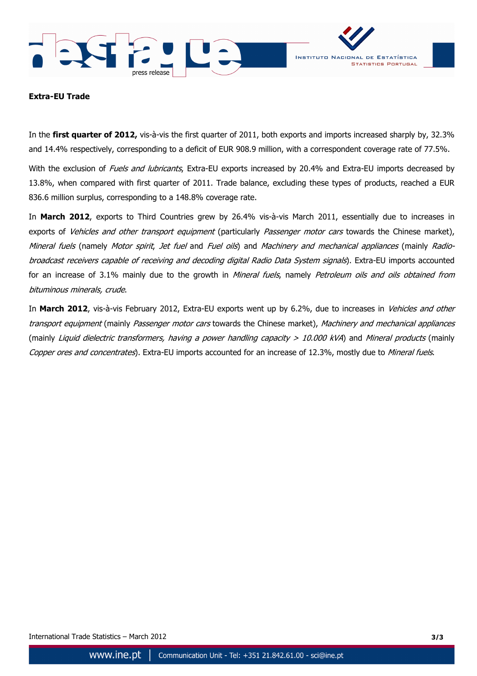



#### **Extra-EU Trade**

In the **first quarter of 2012,** vis-à-vis the first quarter of 2011, both exports and imports increased sharply by, 32.3% and 14.4% respectively, corresponding to a deficit of EUR 908.9 million, with a correspondent coverage rate of 77.5%.

With the exclusion of Fuels and lubricants, Extra-EU exports increased by 20.4% and Extra-EU imports decreased by 13.8%, when compared with first quarter of 2011. Trade balance, excluding these types of products, reached a EUR 836.6 million surplus, corresponding to a 148.8% coverage rate.

In **March 2012**, exports to Third Countries grew by 26.4% vis-à-vis March 2011, essentially due to increases in exports of *Vehicles and other transport equipment* (particularly *Passenger motor cars* towards the Chinese market), Mineral fuels (namely Motor spirit, Jet fuel and Fuel oils) and Machinery and mechanical appliances (mainly Radiobroadcast receivers capable of receiving and decoding digital Radio Data System signals). Extra-EU imports accounted for an increase of 3.1% mainly due to the growth in Mineral fuels, namely Petroleum oils and oils obtained from bituminous minerals, crude.

In **March 2012**, vis-à-vis February 2012, Extra-EU exports went up by 6.2%, due to increases in Vehicles and other transport equipment (mainly Passenger motor cars towards the Chinese market), Machinery and mechanical appliances (mainly Liquid dielectric transformers, having a power handling capacity  $> 10.000$  kVA) and Mineral products (mainly Copper ores and concentrates). Extra-EU imports accounted for an increase of 12.3%, mostly due to Mineral fuels.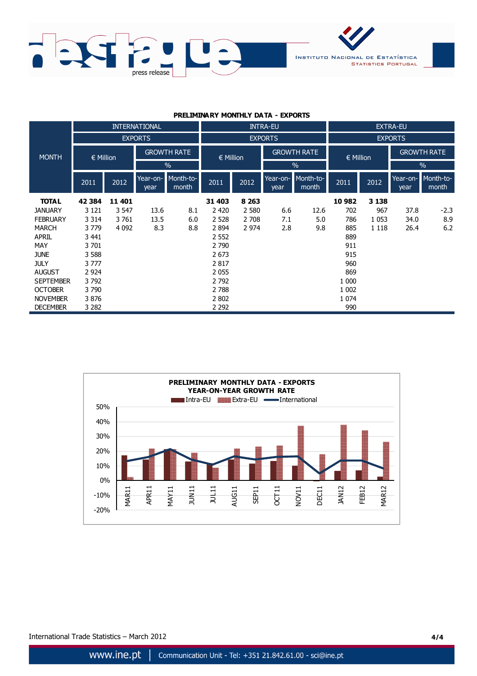

#### **PRELIMINARY MONTHLY DATA - EXPORTS**

|                  | <b>INTERNATIONAL</b> |         |                    | <b>INTRA-EU</b>    |               |                |                    | <b>EXTRA-EU</b>    |               |                |                    |                             |  |
|------------------|----------------------|---------|--------------------|--------------------|---------------|----------------|--------------------|--------------------|---------------|----------------|--------------------|-----------------------------|--|
|                  |                      |         | <b>EXPORTS</b>     |                    |               | <b>EXPORTS</b> |                    |                    |               | <b>EXPORTS</b> |                    |                             |  |
| <b>MONTH</b>     | $\in$ Million        |         | <b>GROWTH RATE</b> |                    | $\in$ Million |                | <b>GROWTH RATE</b> |                    | $\in$ Million |                | <b>GROWTH RATE</b> |                             |  |
|                  |                      |         |                    | $\frac{0}{0}$      |               |                |                    | $\frac{0}{0}$      |               |                | $\frac{0}{0}$      |                             |  |
|                  | 2011                 | 2012    | Year-on-<br>year   | Month-to-<br>month | 2011          | 2012           | Year-on-<br>year   | Month-to-<br>month | 2011          | 2012           | year               | Year-on- Month-to-<br>month |  |
| <b>TOTAL</b>     | 42 3 84              | 11 401  |                    |                    | 31 403        | 8 2 6 3        |                    |                    | 10 982        | 3 1 3 8        |                    |                             |  |
| <b>JANUARY</b>   | 3 1 2 1              | 3 5 4 7 | 13.6               | 8.1                | 2 4 2 0       | 2 5 8 0        | 6.6                | 12.6               | 702           | 967            | 37.8               | $-2.3$                      |  |
| <b>FEBRUARY</b>  | 3 3 1 4              | 3761    | 13.5               | 6.0                | 2 5 2 8       | 2 7 0 8        | 7.1                | 5.0                | 786           | 1 0 5 3        | 34.0               | 8.9                         |  |
| <b>MARCH</b>     | 3779                 | 4 0 9 2 | 8.3                | 8.8                | 2894          | 2 9 7 4        | 2.8                | 9.8                | 885           | 1 1 1 8        | 26.4               | 6.2                         |  |
| <b>APRIL</b>     | 3 441                |         |                    |                    | 2 5 5 2       |                |                    |                    | 889           |                |                    |                             |  |
| MAY              | 3 701                |         |                    |                    | 2 7 9 0       |                |                    |                    | 911           |                |                    |                             |  |
| <b>JUNE</b>      | 3 5 8 8              |         |                    |                    | 2673          |                |                    |                    | 915           |                |                    |                             |  |
| <b>JULY</b>      | 3 777                |         |                    |                    | 2817          |                |                    |                    | 960           |                |                    |                             |  |
| <b>AUGUST</b>    | 2 9 2 4              |         |                    |                    | 2055          |                |                    |                    | 869           |                |                    |                             |  |
| <b>SEPTEMBER</b> | 3792                 |         |                    |                    | 2 7 9 2       |                |                    |                    | 1 000         |                |                    |                             |  |
| <b>OCTOBER</b>   | 3790                 |         |                    |                    | 2 7 8 8       |                |                    |                    | 1 0 0 2       |                |                    |                             |  |
| <b>NOVEMBER</b>  | 3876                 |         |                    |                    | 2 8 0 2       |                |                    |                    | 1 0 7 4       |                |                    |                             |  |
| <b>DECEMBER</b>  | 3 2 8 2              |         |                    |                    | 2 2 9 2       |                |                    |                    | 990           |                |                    |                             |  |

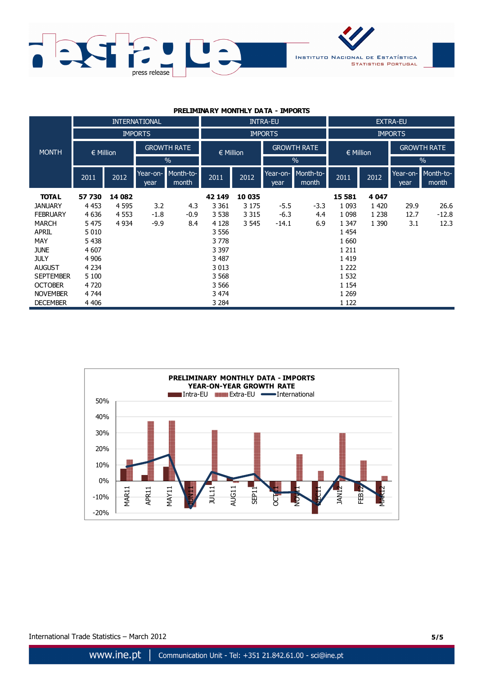

| <b>PRELIMINARY MONTHLY DATA - IMPORTS</b> |  |  |  |
|-------------------------------------------|--|--|--|
|-------------------------------------------|--|--|--|

|                  | <b>INTERNATIONAL</b> |         |                                     | <b>INTRA-EU</b>    |                |         |                                     | <b>EXTRA-EU</b>    |                |         |                    |                    |
|------------------|----------------------|---------|-------------------------------------|--------------------|----------------|---------|-------------------------------------|--------------------|----------------|---------|--------------------|--------------------|
|                  | <b>IMPORTS</b>       |         |                                     |                    | <b>IMPORTS</b> |         |                                     |                    | <b>IMPORTS</b> |         |                    |                    |
| <b>MONTH</b>     | $\in$ Million        |         | <b>GROWTH RATE</b><br>$\frac{0}{0}$ |                    | $\in$ Million  |         | <b>GROWTH RATE</b><br>$\frac{0}{0}$ |                    | $\in$ Million  |         | <b>GROWTH RATE</b> |                    |
|                  |                      |         |                                     |                    |                |         |                                     |                    |                |         | $\%$               |                    |
|                  | 2011                 | 2012    | Year-on-<br>year                    | Month-to-<br>month | 2011           | 2012    | Year-on-<br>year                    | Month-to-<br>month | 2011           | 2012    | Year-on-<br>year   | Month-to-<br>month |
| <b>TOTAL</b>     | 57 730               | 14 082  |                                     |                    | 42 149         | 10 035  |                                     |                    | 15 581         | 4 0 4 7 |                    |                    |
| <b>JANUARY</b>   | 4 4 5 3              | 4 5 9 5 | 3.2                                 | 4.3                | 3 3 6 1        | 3 1 7 5 | $-5.5$                              | $-3.3$             | 1 0 9 3        | 1420    | 29.9               | 26.6               |
| <b>FEBRUARY</b>  | 4 6 3 6              | 4 5 5 3 | $-1.8$                              | $-0.9$             | 3 5 3 8        | 3 3 1 5 | $-6.3$                              | 4.4                | 1 0 9 8        | 1 2 3 8 | 12.7               | $-12.8$            |
| <b>MARCH</b>     | 5 4 7 5              | 4 9 3 4 | $-9.9$                              | 8.4                | 4 1 2 8        | 3 5 4 5 | $-14.1$                             | 6.9                | 1 3 4 7        | 1 3 9 0 | 3.1                | 12.3               |
| <b>APRIL</b>     | 5 0 1 0              |         |                                     |                    | 3 5 5 6        |         |                                     |                    | 1 4 5 4        |         |                    |                    |
| MAY              | 5 4 3 8              |         |                                     |                    | 3778           |         |                                     |                    | 1 6 6 0        |         |                    |                    |
| <b>JUNE</b>      | 4 607                |         |                                     |                    | 3 3 9 7        |         |                                     |                    | 1 2 1 1        |         |                    |                    |
| <b>JULY</b>      | 4 9 0 6              |         |                                     |                    | 3 4 8 7        |         |                                     |                    | 1 4 1 9        |         |                    |                    |
| <b>AUGUST</b>    | 4 2 3 4              |         |                                     |                    | 3 0 1 3        |         |                                     |                    | 1 2 2 2        |         |                    |                    |
| <b>SEPTEMBER</b> | 5 100                |         |                                     |                    | 3 5 6 8        |         |                                     |                    | 1 5 3 2        |         |                    |                    |
| <b>OCTOBER</b>   | 4720                 |         |                                     |                    | 3 5 6 6        |         |                                     |                    | 1 1 5 4        |         |                    |                    |
| <b>NOVEMBER</b>  | 4 7 4 4              |         |                                     |                    | 3 4 7 4        |         |                                     |                    | 1 2 6 9        |         |                    |                    |
| <b>DECEMBER</b>  | 4 4 0 6              |         |                                     |                    | 3 2 8 4        |         |                                     |                    | 1 1 2 2        |         |                    |                    |



International Trade Statistics – March 2012 **5/5**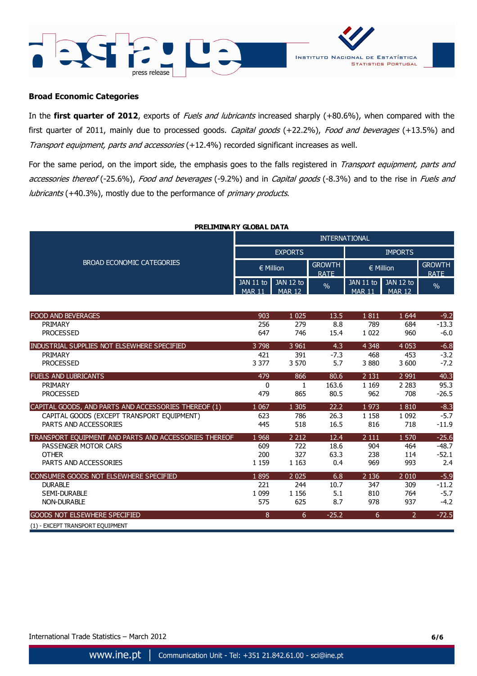



#### **Broad Economic Categories**

In the first quarter of 2012, exports of Fuels and lubricants increased sharply (+80.6%), when compared with the first quarter of 2011, mainly due to processed goods. Capital goods (+22.2%), Food and beverages (+13.5%) and Transport equipment, parts and accessories (+12.4%) recorded significant increases as well.

For the same period, on the import side, the emphasis goes to the falls registered in Transport equipment, parts and accessories thereof (-25.6%), Food and beverages (-9.2%) and in Capital goods (-8.3%) and to the rise in Fuels and lubricants (+40.3%), mostly due to the performance of primary products.

| PRELIMINARY GLOBAL DATA   |                      |                                   |                              |                              |                             |                              |  |  |  |
|---------------------------|----------------------|-----------------------------------|------------------------------|------------------------------|-----------------------------|------------------------------|--|--|--|
| BROAD ECONOMIC CATEGORIES | <b>INTERNATIONAL</b> |                                   |                              |                              |                             |                              |  |  |  |
|                           | <b>EXPORTS</b>       |                                   |                              | <b>IMPORTS</b>               |                             |                              |  |  |  |
|                           | $\in$ Million        |                                   | <b>GROWTH</b><br><b>RATF</b> | $\in$ Million                |                             | <b>GROWTH</b><br><b>RATF</b> |  |  |  |
|                           | <b>MAR 11</b>        | $JAN 11 to$ $JAN 12 to$<br>MAP 12 | $\frac{0}{0}$                | $JAN$ 11 to<br><b>MAR 11</b> | JAN 12 to<br>$M\Delta R$ 12 | $\frac{0}{2}$                |  |  |  |

| <b>FOOD AND BEVERAGES</b>                             | 903     | 1 0 2 5 | 13.5    | 1811    | 1 6 4 4        | $-9.2$  |
|-------------------------------------------------------|---------|---------|---------|---------|----------------|---------|
| PRIMARY                                               | 256     | 279     | 8.8     | 789     | 684            | $-13.3$ |
| <b>PROCESSED</b>                                      | 647     | 746     | 15.4    | 1 0 2 2 | 960            | $-6.0$  |
| INDUSTRIAL SUPPLIES NOT ELSEWHERE SPECIFIED           | 3 7 9 8 | 3 9 6 1 | 4.3     | 4 3 4 8 | 4 0 5 3        | $-6.8$  |
| <b>PRIMARY</b>                                        | 421     | 391     | $-7.3$  | 468     | 453            | $-3.2$  |
| <b>PROCESSED</b>                                      | 3 3 7 7 | 3 5 7 0 | 5.7     | 3880    | 3 600          | $-7.2$  |
| <b>FUELS AND LUBRICANTS</b>                           | 479     | 866     | 80.6    | 2 1 3 1 | 2 9 9 1        | 40.3    |
| PRIMARY                                               | 0       | 1       | 163.6   | 1 1 6 9 | 2 2 8 3        | 95.3    |
| <b>PROCESSED</b>                                      | 479     | 865     | 80.5    | 962     | 708            | $-26.5$ |
| CAPITAL GOODS, AND PARTS AND ACCESSORIES THEREOF (1)  | 1 0 6 7 | 1 3 0 5 | 22.2    | 1973    | 1810           | $-8.3$  |
| CAPITAL GOODS (EXCEPT TRANSPORT EQUIPMENT)            | 623     | 786     | 26.3    | 1 1 5 8 | 1 0 9 2        | $-5.7$  |
| PARTS AND ACCESSORIES                                 | 445     | 518     | 16.5    | 816     | 718            | $-11.9$ |
| TRANSPORT EQUIPMENT AND PARTS AND ACCESSORIES THEREOF | 1 9 6 8 | 2 2 1 2 | 12.4    | 2 1 1 1 | 1570           | $-25.6$ |
| PASSENGER MOTOR CARS                                  | 609     | 722     | 18.6    | 904     | 464            | $-48.7$ |
| <b>OTHER</b>                                          | 200     | 327     | 63.3    | 238     | 114            | $-52.1$ |
| PARTS AND ACCESSORIES                                 | 1 1 5 9 | 1 1 6 3 | 0.4     | 969     | 993            | 2.4     |
| CONSUMER GOODS NOT ELSEWHERE SPECIFIED                | 1895    | 2 0 2 5 | 6.8     | 2 1 3 6 | 2 0 1 0        | $-5.9$  |
| <b>DURABLE</b>                                        | 221     | 244     | 10.7    | 347     | 309            | $-11.2$ |
| <b>SEMI-DURABLE</b>                                   | 1 0 9 9 | 1 1 5 6 | 5.1     | 810     | 764            | $-5.7$  |
| <b>NON-DURABLE</b>                                    | 575     | 625     | 8.7     | 978     | 937            | $-4.2$  |
| GOODS NOT ELSEWHERE SPECIFIED                         | 8       | 6       | $-25.2$ | 6       | $\overline{2}$ | $-72.5$ |
| (1) - EXCEPT TRANSPORT EQUIPMENT                      |         |         |         |         |                |         |

International Trade Statistics – March 2012 **6/6**